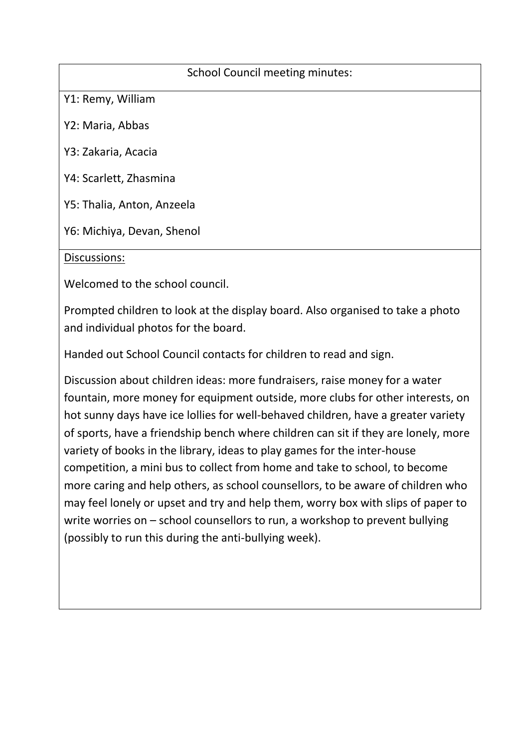## School Council meeting minutes:

Y1: Remy, William

Y2: Maria, Abbas

Y3: Zakaria, Acacia

Y4: Scarlett, Zhasmina

Y5: Thalia, Anton, Anzeela

Y6: Michiya, Devan, Shenol

## Discussions:

Welcomed to the school council.

Prompted children to look at the display board. Also organised to take a photo and individual photos for the board.

Handed out School Council contacts for children to read and sign.

Discussion about children ideas: more fundraisers, raise money for a water fountain, more money for equipment outside, more clubs for other interests, on hot sunny days have ice lollies for well-behaved children, have a greater variety of sports, have a friendship bench where children can sit if they are lonely, more variety of books in the library, ideas to play games for the inter-house competition, a mini bus to collect from home and take to school, to become more caring and help others, as school counsellors, to be aware of children who may feel lonely or upset and try and help them, worry box with slips of paper to write worries on – school counsellors to run, a workshop to prevent bullying (possibly to run this during the anti-bullying week).